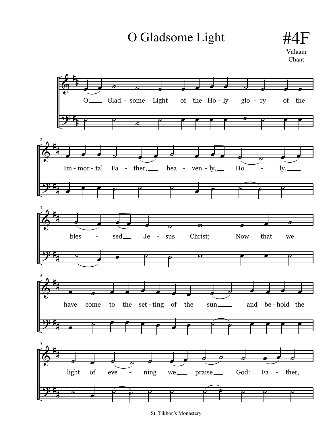O Gladsome Light #4F

Valaam Chant



St. Tikhon's Monastery